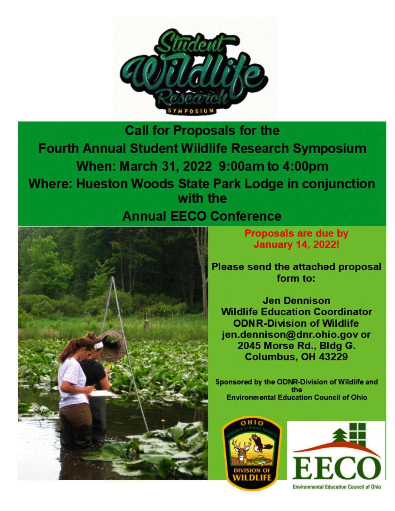

**Call for Proposals for the** Fourth Annual Student Wildlife Research Symposium When: March 31, 2022 9:00am to 4:00pm **Where: Hueston Woods State Park Lodge in conjunction** with the **Annual EECO Conference** 

**Proposals are due by January 14, 2022!** 

**Please send the attached proposal** form to:

**Jen Dennison Wildlife Education Coordinator ODNR-Division of Wildlife** jen.dennison@dnr.ohio.gov or 2045 Morse Rd., Bldg G. Columbus, OH 43229

Sponsored by the ODNR-Division of Wildlife and the **Environmental Education Council of Ohio** 



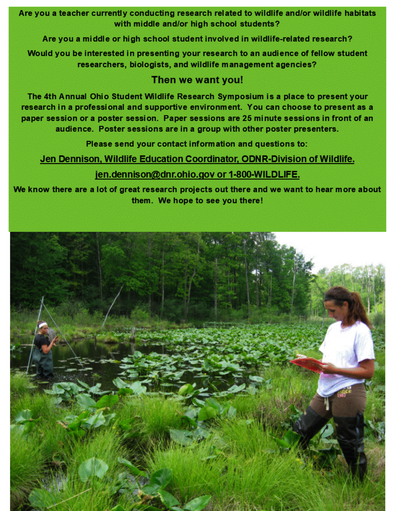Are you a teacher currently conducting research related to wildlife and/or wildlife habitats with middle and/or high school students?

Are you a middle or high school student involved in wildlife-related research?

Would you be interested in presenting your research to an audience of fellow student researchers, biologists, and wildlife management agencies?

# Then we want you!

The 4th Annual Ohio Student Wildlife Research Symposium is a place to present your research in a professional and supportive environment. You can choose to present as a paper session or a poster session. Paper sessions are 25 minute sessions in front of an audience. Poster sessions are in a group with other poster presenters.

Please send your contact information and questions to:

Jen Dennison, Wildlife Education Coordinator, ODNR-Division of Wildlife.

# jen.dennison@dnr.ohio.gov or 1-800-WILDLIFE.

We know there are a lot of great research projects out there and we want to hear more about them. We hope to see you there!

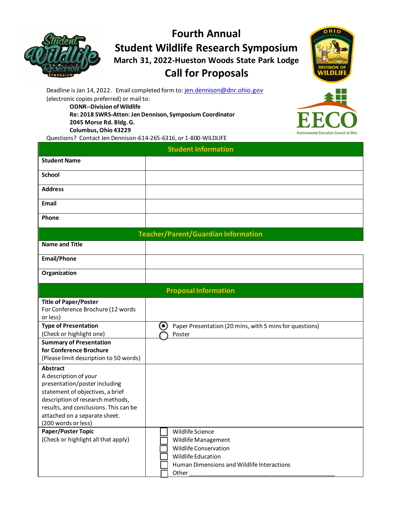**Fourth Annual Student Wildlife Research Symposium March 31, 2022-Hueston Woods State Park Lodge**

## **Call for Proposals**



Deadline is Jan 14, 2022. Email completed form to[: jen.dennison@dnr.ohio.gov](mailto:jen.dennison@dnr.ohio.gov) (electronic copies preferred) or mail to:

**ODNR--Division of Wildlife**

**Re: 2018 SWRS-Atten: Jen Dennison, Symposium Coordinator 2045 Morse Rd. Bldg. G.**

**Columbus, Ohio 43229**

Questions? Contact Jen Dennison-614-265-6316, or 1-800-WILDLIFE



| <b>Student Information</b>                                                                                                                                                                                                                                               |                                                                                                                                         |
|--------------------------------------------------------------------------------------------------------------------------------------------------------------------------------------------------------------------------------------------------------------------------|-----------------------------------------------------------------------------------------------------------------------------------------|
| <b>Student Name</b>                                                                                                                                                                                                                                                      |                                                                                                                                         |
| <b>School</b>                                                                                                                                                                                                                                                            |                                                                                                                                         |
| <b>Address</b>                                                                                                                                                                                                                                                           |                                                                                                                                         |
|                                                                                                                                                                                                                                                                          |                                                                                                                                         |
| Email                                                                                                                                                                                                                                                                    |                                                                                                                                         |
| Phone                                                                                                                                                                                                                                                                    |                                                                                                                                         |
| <b>Teacher/Parent/Guardian Information</b>                                                                                                                                                                                                                               |                                                                                                                                         |
| <b>Name and Title</b>                                                                                                                                                                                                                                                    |                                                                                                                                         |
| <b>Email/Phone</b>                                                                                                                                                                                                                                                       |                                                                                                                                         |
| Organization                                                                                                                                                                                                                                                             |                                                                                                                                         |
| <b>Proposal Information</b>                                                                                                                                                                                                                                              |                                                                                                                                         |
| <b>Title of Paper/Poster</b><br>For Conference Brochure (12 words<br>or less)                                                                                                                                                                                            |                                                                                                                                         |
| <b>Type of Presentation</b>                                                                                                                                                                                                                                              | $\boldsymbol{\Theta}$<br>Paper Presentation (20 mins, with 5 mins for questions)                                                        |
| (Check or highlight one)                                                                                                                                                                                                                                                 | Poster                                                                                                                                  |
| <b>Summary of Presentation</b><br>for Conference Brochure<br>(Please limit description to 50 words)                                                                                                                                                                      |                                                                                                                                         |
| <b>Abstract</b><br>A description of your<br>presentation/poster including<br>statement of objectives, a brief<br>description of research methods,<br>results, and conclusions. This can be<br>attached on a separate sheet.<br>(200 words or less)<br>Paper/Poster Topic | Wildlife Science                                                                                                                        |
| (Check or highlight all that apply)                                                                                                                                                                                                                                      | Wildlife Management<br><b>Wildlife Conservation</b><br><b>Wildlife Education</b><br>Human Dimensions and Wildlife Interactions<br>Other |